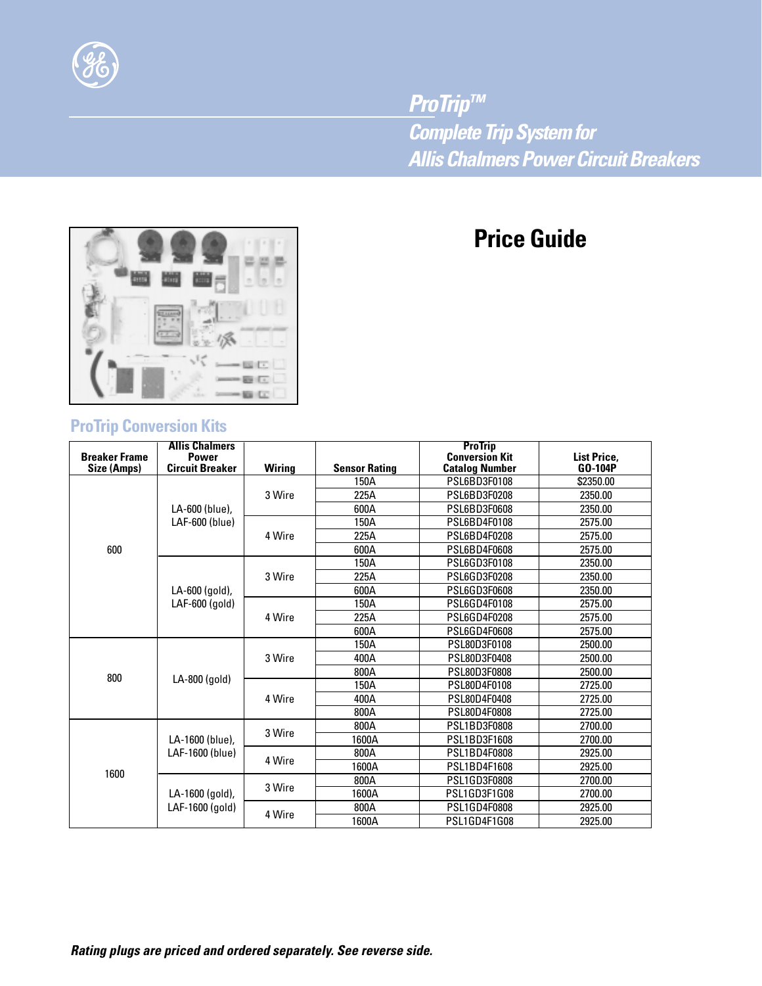

*ProTrip™ Complete Trip System for Allis Chalmers Power Circuit Breakers*

# **Price Guide**



## **ProTrip Conversion Kits**

| <b>Breaker Frame</b> | <b>Allis Chalmers</b><br><b>Power</b><br><b>Circuit Breaker</b>      |               | <b>Sensor Rating</b> | <b>ProTrip</b><br><b>Conversion Kit</b> | List Price,<br>GO-104P |
|----------------------|----------------------------------------------------------------------|---------------|----------------------|-----------------------------------------|------------------------|
| Size (Amps)          |                                                                      | <b>Wiring</b> | 150A                 | <b>Catalog Number</b><br>PSL6BD3F0108   | \$2350.00              |
| 600                  | LA-600 (blue),<br>LAF-600 (blue)<br>LA-600 (gold),<br>LAF-600 (gold) | 3 Wire        | 225A                 | PSL6BD3F0208                            | 2350.00                |
|                      |                                                                      |               | 600A                 | <b>PSL6BD3F0608</b>                     | 2350.00                |
|                      |                                                                      |               |                      |                                         |                        |
|                      |                                                                      | 4 Wire        | 150A                 | PSL6BD4F0108                            | 2575.00                |
|                      |                                                                      |               | 225A                 | PSL6BD4F0208                            | 2575.00                |
|                      |                                                                      |               | 600A                 | <b>PSL6BD4F0608</b>                     | 2575.00                |
|                      |                                                                      | 3 Wire        | 150A                 | PSL6GD3F0108                            | 2350.00                |
|                      |                                                                      |               | 225A                 | PSL6GD3F0208                            | 2350.00                |
|                      |                                                                      |               | 600A                 | <b>PSL6GD3F0608</b>                     | 2350.00                |
|                      |                                                                      | 4 Wire        | 150A                 | PSL6GD4F0108                            | 2575.00                |
|                      |                                                                      |               | 225A                 | PSL6GD4F0208                            | 2575.00                |
|                      |                                                                      |               | 600A                 | <b>PSL6GD4F0608</b>                     | 2575.00                |
| 800                  | LA-800 (gold)                                                        | 3 Wire        | 150A                 | PSL80D3F0108                            | 2500.00                |
|                      |                                                                      |               | 400A                 | PSL80D3F0408                            | 2500.00                |
|                      |                                                                      |               | 800A                 | PSL80D3F0808                            | 2500.00                |
|                      |                                                                      | 4 Wire        | 150A                 | PSL80D4F0108                            | 2725.00                |
|                      |                                                                      |               | 400A                 | PSL80D4F0408                            | 2725.00                |
|                      |                                                                      |               | 800A                 | PSL80D4F0808                            | 2725.00                |
| 1600                 | LA-1600 (blue),<br>LAF-1600 (blue)                                   | 3 Wire        | 800A                 | <b>PSL1BD3F0808</b>                     | 2700.00                |
|                      |                                                                      |               | 1600A                | PSL1BD3F1608                            | 2700.00                |
|                      |                                                                      | 4 Wire        | 800A                 | <b>PSL1BD4F0808</b>                     | 2925.00                |
|                      |                                                                      |               | 1600A                | PSL1BD4F1608                            | 2925.00                |
|                      | LA-1600 (gold),<br>LAF-1600 (gold)                                   | 3 Wire        | 800A                 | PSL1GD3F0808                            | 2700.00                |
|                      |                                                                      |               | 1600A                | PSL1GD3F1G08                            | 2700.00                |
|                      |                                                                      | 4 Wire        | 800A                 | PSL1GD4F0808                            | 2925.00                |
|                      |                                                                      |               | 1600A                | PSL1GD4F1G08                            | 2925.00                |